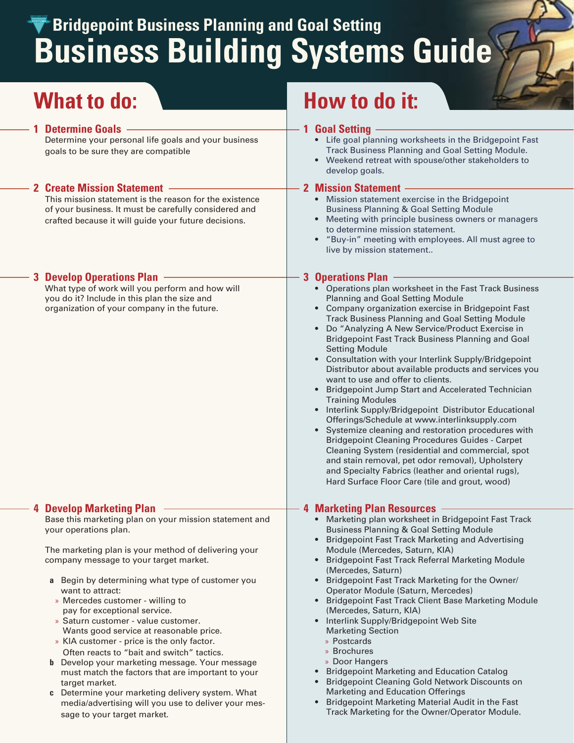# **Business Building Systems Guide Bridgepoint Business Planning and Goal Setting**

#### **1 Determine Goals**

Determine your personal life goals and your business goals to be sure they are compatible

#### **2 Create Mission Statement**

This mission statement is the reason for the existence of your business. It must be carefully considered and crafted because it will guide your future decisions.

#### **3 Develop Operations Plan**

What type of work will you perform and how will you do it? Include in this plan the size and organization of your company in the future.

#### **4 Develop Marketing Plan**

Base this marketing plan on your mission statement and your operations plan.

 The marketing plan is your method of delivering your company message to your target market.

- **a** Begin by determining what type of customer you want to attract:
- Mercedes customer willing to » pay for exceptional service.
- » Saturn customer value customer. Wants good service at reasonable price.
- KIA customer price is the only factor. » Often reacts to "bait and switch" tactics.
- **b** Develop your marketing message. Your message must match the factors that are important to your target market.
- **c** Determine your marketing delivery system. What media/advertising will you use to deliver your message to your target market.

# **What to do: What to do: How to do it:**

#### **1 Goal Setting**

- Life goal planning worksheets in the Bridgepoint Fast **•** Track Business Planning and Goal Setting Module.
- Weekend retreat with spouse/other stakeholders to develop goals. **•**

#### **2 Mission Statement**

- Mission statement exercise in the Bridgepoint **•** Business Planning & Goal Setting Module
- Meeting with principle business owners or managers **•** to determine mission statement.
- "Buy-in" meeting with employees. All must agree to **•** live by mission statement..

#### **3 Operations Plan**

- Operations plan worksheet in the Fast Track Business **•** Planning and Goal Setting Module
- Company organization exercise in Bridgepoint Fast Track Business Planning and Goal Setting Module **•**
- Do "Analyzing A New Service/Product Exercise in **•** Bridgepoint Fast Track Business Planning and Goal Setting Module
- Consultation with your Interlink Supply/Bridgepoint **•** Distributor about available products and services you want to use and offer to clients.
- Bridgepoint Jump Start and Accelerated Technician **•** Training Modules
- Interlink Supply/Bridgepoint Distributor Educational Offerings/Schedule at www.interlinksupply.com **•**
- Systemize cleaning and restoration procedures with Bridgepoint Cleaning Procedures Guides - Carpet Cleaning System (residential and commercial, spot and stain removal, pet odor removal), Upholstery and Specialty Fabrics (leather and oriental rugs), Hard Surface Floor Care (tile and grout, wood) **•**

#### **4 Marketing Plan Resources**

- Marketing plan worksheet in Bridgepoint Fast Track **•** Business Planning & Goal Setting Module
- Bridgepoint Fast Track Marketing and Advertising Module (Mercedes, Saturn, KIA) **•**
- Bridgepoint Fast Track Referral Marketing Module (Mercedes, Saturn) **•**
- Bridgepoint Fast Track Marketing for the Owner/ Operator Module (Saturn, Mercedes) **•**
- Bridgepoint Fast Track Client Base Marketing Module (Mercedes, Saturn, KIA) **•**
- Interlink Supply/Bridgepoint Web Site Marketing Section **•**
	- Postcards »
	- Brochures »
	- » Door Hangers
- Bridgepoint Marketing and Education Catalog **•**
- **•** Bridgepoint Cleaning Gold Network Discounts on Marketing and Education Offerings
- Bridgepoint Marketing Material Audit in the Fast Track Marketing for the Owner/Operator Module. **•**